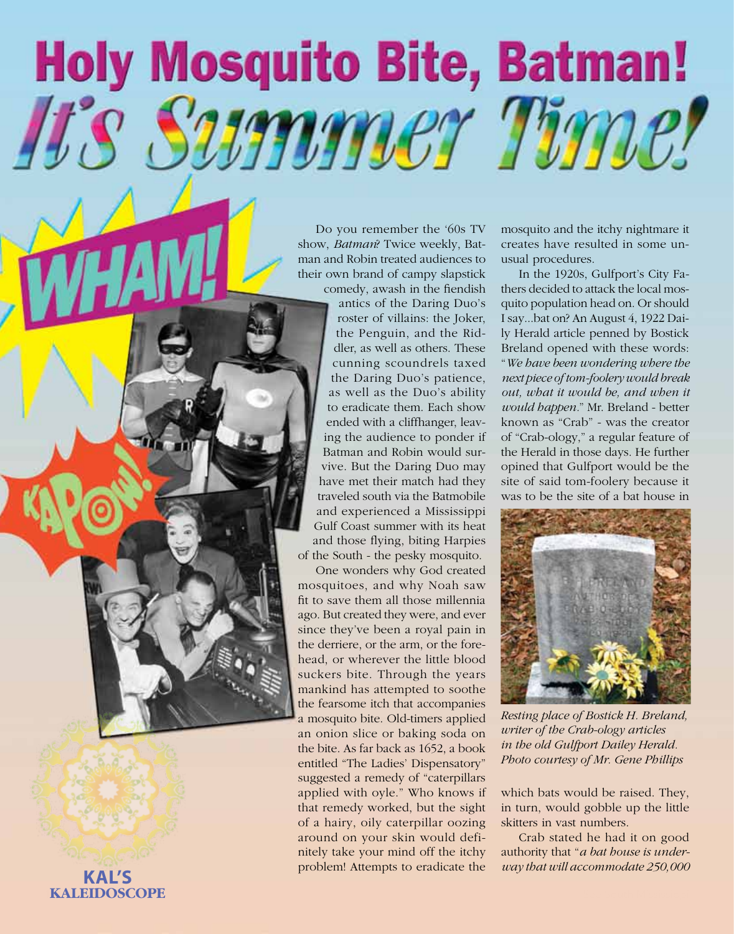## **Holy Mosquito Bite, Batman!** It's Summer Time!

Do you remember the '60s TV show, *Batman*? Twice weekly, Bat man and Robin treated audiences to their own brand of campy slapstick

comedy, awash in the fiendish antics of the Daring Duo's roster of villains: the Joker, the Penguin, and the Rid dler, as well as others. These cunning scoundrels taxed the Daring Duo's patience, as well as the Duo's ability to eradicate them. Each show ended with a cliffhanger, leav ing the audience to ponder if Batman and Robin would sur vive. But the Daring Duo may have met their match had they traveled south via the Batmobile and experienced a Mississippi Gulf Coast summer with its heat and those flying, biting Harpies of the South - the pesky mosquito.

One wonders why God created mosquitoes, and why Noah saw fit to save them all those millennia ago. But created they were, and ever since they've been a royal pain in the derriere, or the arm, or the fore head, or wherever the little blood suckers bite. Through the years mankind has attempted to soothe the fearsome itch that accompanies a mosquito bite. Old-timers applied an onion slice or baking soda on the bite. As far back as 1652, a book entitled "The Ladies' Dispensatory" suggested a remedy of "caterpillars applied with oyle." Who knows if that remedy worked, but the sight of a hairy, oily caterpillar oozing around on your skin would defi nitely take your mind off the itchy problem! Attempts to eradicate the

mosquito and the itchy nightmare it creates have resulted in some un usual procedures.

In the 1920s, Gulfport's City Fa thers decided to attack the local mos quito population head on. Or should I say...bat on? An August 4, 1922 Dai ly Herald article penned by Bostick Breland opened with these words: "*We have been wondering where the next piece of tom-foolery would break out, what it would be, and when it would happen.*" Mr. Breland - better known as "Crab" - was the creator of "Crab-ology," a regular feature of the Herald in those days. He further opined that Gulfport would be the site of said tom-foolery because it was to be the site of a bat house in



*Resting place of Bostick H. Breland, writer of the Crab-ology articles in the old Gulfport Dailey Herald. Photo courtesy of Mr. Gene Phillips*

which bats would be raised. They, in turn, would gobble up the little skitters in vast numbers.

Crab stated he had it on good authority that "*a bat house is under-***KAL'S** *way that will accommodate 250,000* **<b>KAL'S** 

## 1 **KALEIDOSCOPE KALEIDOSCOPE Summer 2013 See South Mississippi (See South Mississippi )**